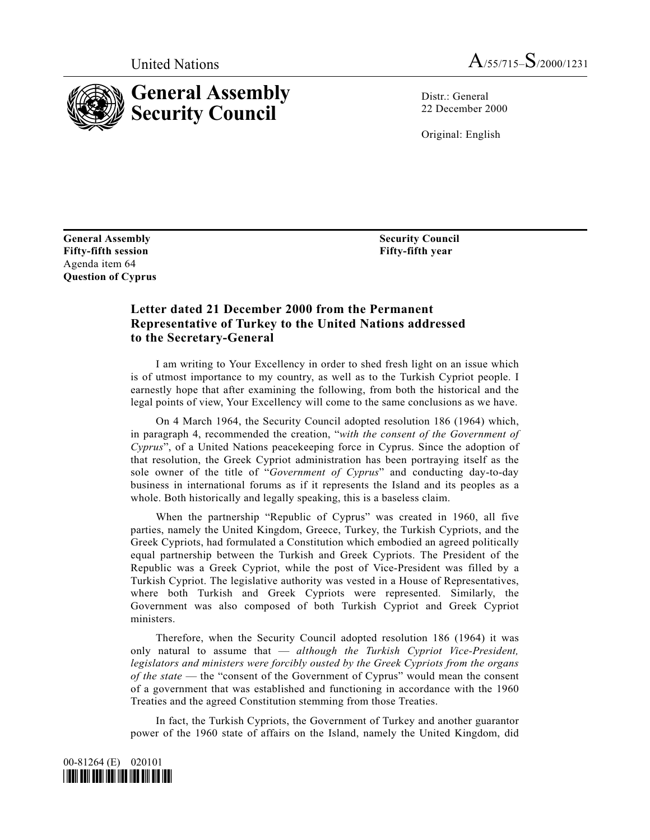

 $Distr \cdot General$ 22 December 2000

Original: English

**General Assembly Fifty-fifth session** Agenda item 64 **Ouestion of Cyprus**  **Security Council** Fifty-fifth year

## Letter dated 21 December 2000 from the Permanent Representative of Turkey to the United Nations addressed to the Secretary-General

I am writing to Your Excellency in order to shed fresh light on an issue which is of utmost importance to my country, as well as to the Turkish Cypriot people. I earnestly hope that after examining the following, from both the historical and the legal points of view, Your Excellency will come to the same conclusions as we have.

On 4 March 1964, the Security Council adopted resolution 186 (1964) which, in paragraph 4, recommended the creation, "with the consent of the Government of Cyprus", of a United Nations peacekeeping force in Cyprus. Since the adoption of that resolution, the Greek Cypriot administration has been portraying itself as the sole owner of the title of "Government of Cyprus" and conducting day-to-day business in international forums as if it represents the Island and its peoples as a whole. Both historically and legally speaking, this is a baseless claim.

When the partnership "Republic of Cyprus" was created in 1960, all five parties, namely the United Kingdom, Greece, Turkey, the Turkish Cypriots, and the Greek Cypriots, had formulated a Constitution which embodied an agreed politically equal partnership between the Turkish and Greek Cypriots. The President of the Republic was a Greek Cypriot, while the post of Vice-President was filled by a Turkish Cypriot. The legislative authority was vested in a House of Representatives, where both Turkish and Greek Cypriots were represented. Similarly, the Government was also composed of both Turkish Cypriot and Greek Cypriot ministers.

Therefore, when the Security Council adopted resolution 186 (1964) it was only natural to assume that  $-$  although the Turkish Cypriot Vice-President, legislators and ministers were forcibly ousted by the Greek Cypriots from the organs of the state — the "consent of the Government of Cyprus" would mean the consent of a government that was established and functioning in accordance with the 1960 Treaties and the agreed Constitution stemming from those Treaties.

In fact, the Turkish Cypriots, the Government of Turkey and another guarantor power of the 1960 state of affairs on the Island, namely the United Kingdom, did

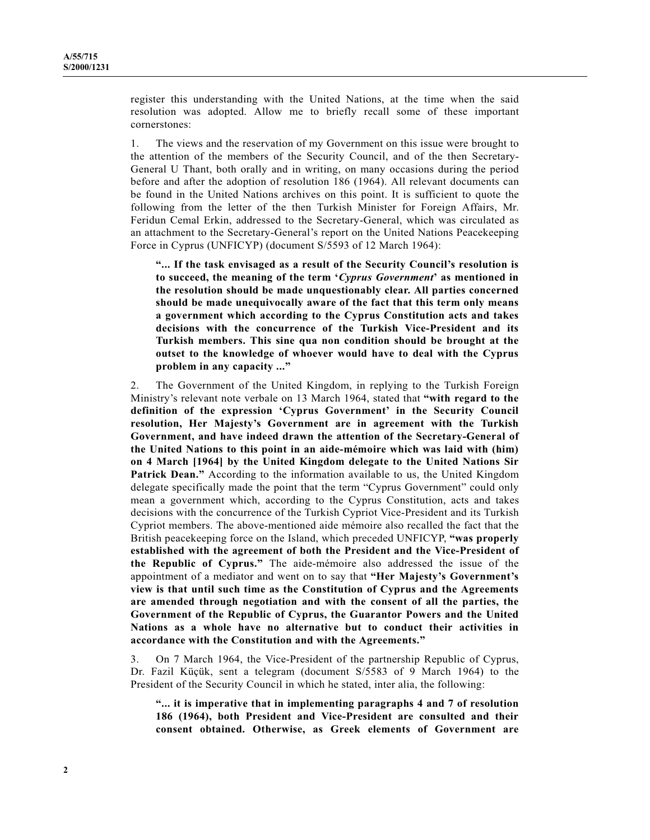register this understanding with the United Nations, at the time when the said resolution was adopted. Allow me to briefly recall some of these important cornerstones:

The views and the reservation of my Government on this issue were brought to 1. the attention of the members of the Security Council, and of the then Secretary-General U Thant, both orally and in writing, on many occasions during the period before and after the adoption of resolution 186 (1964). All relevant documents can be found in the United Nations archives on this point. It is sufficient to quote the following from the letter of the then Turkish Minister for Foreign Affairs, Mr. Feridun Cemal Erkin, addressed to the Secretary-General, which was circulated as an attachment to the Secretary-General's report on the United Nations Peacekeeping Force in Cyprus (UNFICYP) (document S/5593 of 12 March 1964):

"... If the task envisaged as a result of the Security Council's resolution is to succeed, the meaning of the term 'Cyprus Government' as mentioned in the resolution should be made unquestionably clear. All parties concerned should be made unequivocally aware of the fact that this term only means a government which according to the Cyprus Constitution acts and takes decisions with the concurrence of the Turkish Vice-President and its Turkish members. This sine qua non condition should be brought at the outset to the knowledge of whoever would have to deal with the Cyprus problem in any capacity ..."

The Government of the United Kingdom, in replying to the Turkish Foreign  $2.$ Ministry's relevant note verbale on 13 March 1964, stated that "with regard to the definition of the expression 'Cyprus Government' in the Security Council resolution, Her Majesty's Government are in agreement with the Turkish Government, and have indeed drawn the attention of the Secretary-General of the United Nations to this point in an aide-mémoire which was laid with (him) on 4 March [1964] by the United Kingdom delegate to the United Nations Sir **Patrick Dean.**" According to the information available to us, the United Kingdom delegate specifically made the point that the term "Cyprus Government" could only mean a government which, according to the Cyprus Constitution, acts and takes decisions with the concurrence of the Turkish Cypriot Vice-President and its Turkish Cypriot members. The above-mentioned aide mémoire also recalled the fact that the British peacekeeping force on the Island, which preceded UNFICYP, "was properly established with the agreement of both the President and the Vice-President of the Republic of Cyprus." The aide-mémoire also addressed the issue of the appointment of a mediator and went on to say that "Her Majesty's Government's view is that until such time as the Constitution of Cyprus and the Agreements are amended through negotiation and with the consent of all the parties, the Government of the Republic of Cyprus, the Guarantor Powers and the United Nations as a whole have no alternative but to conduct their activities in accordance with the Constitution and with the Agreements."

On 7 March 1964, the Vice-President of the partnership Republic of Cyprus, 3. Dr. Fazil Küçük, sent a telegram (document S/5583 of 9 March 1964) to the President of the Security Council in which he stated, inter alia, the following:

"... it is imperative that in implementing paragraphs 4 and 7 of resolution 186 (1964), both President and Vice-President are consulted and their consent obtained. Otherwise, as Greek elements of Government are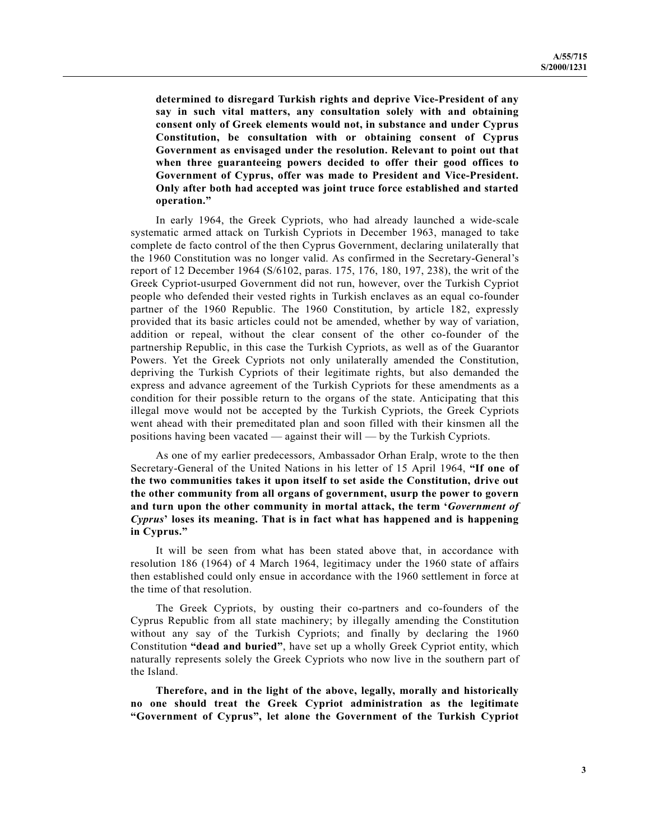determined to disregard Turkish rights and deprive Vice-President of any say in such vital matters, any consultation solely with and obtaining consent only of Greek elements would not, in substance and under Cyprus Constitution, be consultation with or obtaining consent of Cyprus Government as envisaged under the resolution. Relevant to point out that when three guaranteeing powers decided to offer their good offices to Government of Cyprus, offer was made to President and Vice-President. Only after both had accepted was joint truce force established and started operation."

In early 1964, the Greek Cypriots, who had already launched a wide-scale systematic armed attack on Turkish Cypriots in December 1963, managed to take complete de facto control of the then Cyprus Government, declaring unilaterally that the 1960 Constitution was no longer valid. As confirmed in the Secretary-General's report of 12 December 1964 (S/6102, paras. 175, 176, 180, 197, 238), the writ of the Greek Cypriot-usurped Government did not run, however, over the Turkish Cypriot people who defended their vested rights in Turkish enclaves as an equal co-founder partner of the 1960 Republic. The 1960 Constitution, by article 182, expressly provided that its basic articles could not be amended, whether by way of variation, addition or repeal, without the clear consent of the other co-founder of the partnership Republic, in this case the Turkish Cypriots, as well as of the Guarantor Powers. Yet the Greek Cypriots not only unilaterally amended the Constitution, depriving the Turkish Cypriots of their legitimate rights, but also demanded the express and advance agreement of the Turkish Cypriots for these amendments as a condition for their possible return to the organs of the state. Anticipating that this illegal move would not be accepted by the Turkish Cypriots, the Greek Cypriots went ahead with their premeditated plan and soon filled with their kinsmen all the positions having been vacated — against their will — by the Turkish Cypriots.

As one of my earlier predecessors, Ambassador Orhan Eralp, wrote to the then Secretary-General of the United Nations in his letter of 15 April 1964, "If one of the two communities takes it upon itself to set aside the Constitution, drive out the other community from all organs of government, usurp the power to govern and turn upon the other community in mortal attack, the term 'Government of Cyprus' loses its meaning. That is in fact what has happened and is happening in Cyprus."

It will be seen from what has been stated above that, in accordance with resolution 186 (1964) of 4 March 1964, legitimacy under the 1960 state of affairs then established could only ensue in accordance with the 1960 settlement in force at the time of that resolution.

The Greek Cypriots, by ousting their co-partners and co-founders of the Cyprus Republic from all state machinery; by illegally amending the Constitution without any say of the Turkish Cypriots; and finally by declaring the 1960 Constitution "dead and buried", have set up a wholly Greek Cypriot entity, which naturally represents solely the Greek Cypriots who now live in the southern part of the Island.

Therefore, and in the light of the above, legally, morally and historically no one should treat the Greek Cypriot administration as the legitimate "Government of Cyprus", let alone the Government of the Turkish Cypriot